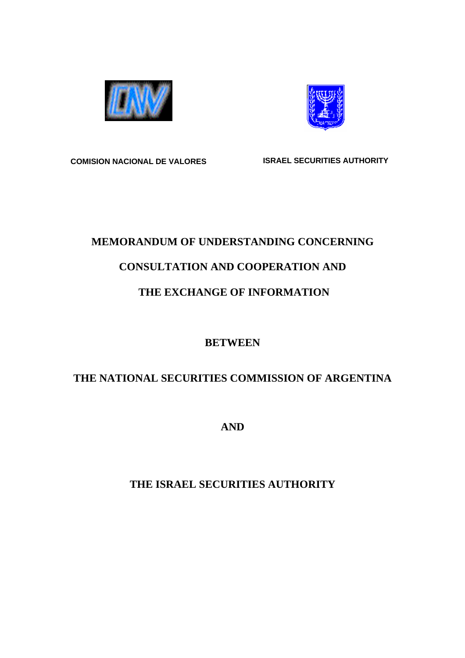



**COMISION NACIONAL DE VALORES ISRAEL SECURITIES AUTHORITY** 

## **MEMORANDUM OF UNDERSTANDING CONCERNING**

# **CONSULTATION AND COOPERATION AND**

# **THE EXCHANGE OF INFORMATION**

## **BETWEEN**

# **THE NATIONAL SECURITIES COMMISSION OF ARGENTINA**

**AND** 

# **THE ISRAEL SECURITIES AUTHORITY**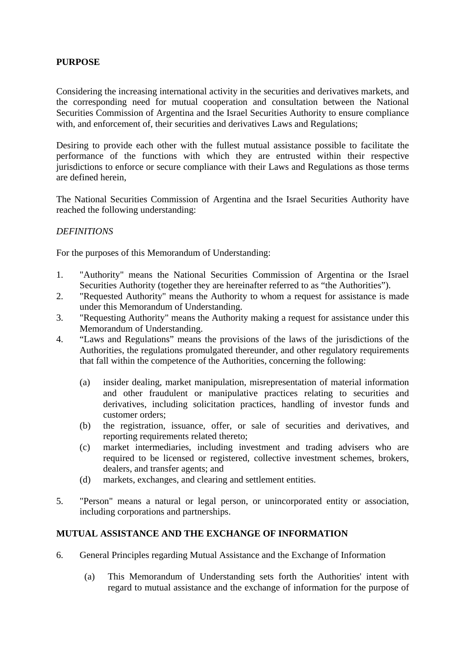### **PURPOSE**

Considering the increasing international activity in the securities and derivatives markets, and the corresponding need for mutual cooperation and consultation between the National Securities Commission of Argentina and the Israel Securities Authority to ensure compliance with, and enforcement of, their securities and derivatives Laws and Regulations;

Desiring to provide each other with the fullest mutual assistance possible to facilitate the performance of the functions with which they are entrusted within their respective jurisdictions to enforce or secure compliance with their Laws and Regulations as those terms are defined herein,

The National Securities Commission of Argentina and the Israel Securities Authority have reached the following understanding:

### *DEFINITIONS*

For the purposes of this Memorandum of Understanding:

- 1. "Authority" means the National Securities Commission of Argentina or the Israel Securities Authority (together they are hereinafter referred to as "the Authorities").
- 2. "Requested Authority" means the Authority to whom a request for assistance is made under this Memorandum of Understanding.
- 3. "Requesting Authority" means the Authority making a request for assistance under this Memorandum of Understanding.
- 4. "Laws and Regulations" means the provisions of the laws of the jurisdictions of the Authorities, the regulations promulgated thereunder, and other regulatory requirements that fall within the competence of the Authorities, concerning the following:
	- (a) insider dealing, market manipulation, misrepresentation of material information and other fraudulent or manipulative practices relating to securities and derivatives, including solicitation practices, handling of investor funds and customer orders;
	- (b) the registration, issuance, offer, or sale of securities and derivatives, and reporting requirements related thereto;
	- (c) market intermediaries, including investment and trading advisers who are required to be licensed or registered, collective investment schemes, brokers, dealers, and transfer agents; and
	- (d) markets, exchanges, and clearing and settlement entities.
- 5. "Person" means a natural or legal person, or unincorporated entity or association, including corporations and partnerships.

### **MUTUAL ASSISTANCE AND THE EXCHANGE OF INFORMATION**

- 6. General Principles regarding Mutual Assistance and the Exchange of Information
	- (a) This Memorandum of Understanding sets forth the Authorities' intent with regard to mutual assistance and the exchange of information for the purpose of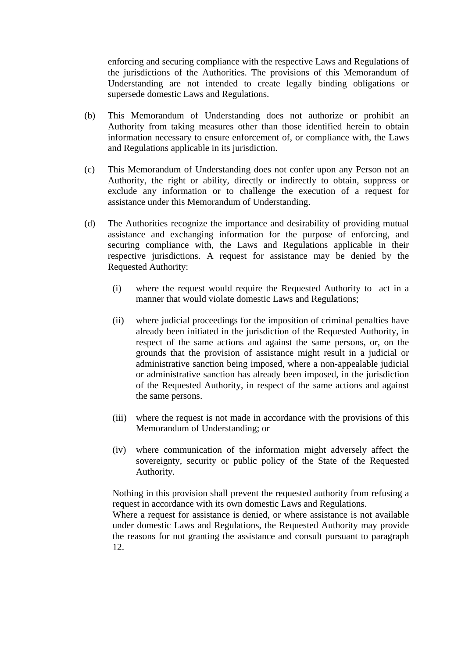enforcing and securing compliance with the respective Laws and Regulations of the jurisdictions of the Authorities. The provisions of this Memorandum of Understanding are not intended to create legally binding obligations or supersede domestic Laws and Regulations.

- (b) This Memorandum of Understanding does not authorize or prohibit an Authority from taking measures other than those identified herein to obtain information necessary to ensure enforcement of, or compliance with, the Laws and Regulations applicable in its jurisdiction.
- (c) This Memorandum of Understanding does not confer upon any Person not an Authority, the right or ability, directly or indirectly to obtain, suppress or exclude any information or to challenge the execution of a request for assistance under this Memorandum of Understanding.
- (d) The Authorities recognize the importance and desirability of providing mutual assistance and exchanging information for the purpose of enforcing, and securing compliance with, the Laws and Regulations applicable in their respective jurisdictions. A request for assistance may be denied by the Requested Authority:
	- (i) where the request would require the Requested Authority to act in a manner that would violate domestic Laws and Regulations;
	- (ii) where judicial proceedings for the imposition of criminal penalties have already been initiated in the jurisdiction of the Requested Authority, in respect of the same actions and against the same persons, or, on the grounds that the provision of assistance might result in a judicial or administrative sanction being imposed, where a non-appealable judicial or administrative sanction has already been imposed, in the jurisdiction of the Requested Authority, in respect of the same actions and against the same persons.
	- (iii) where the request is not made in accordance with the provisions of this Memorandum of Understanding; or
	- (iv) where communication of the information might adversely affect the sovereignty, security or public policy of the State of the Requested Authority.

Nothing in this provision shall prevent the requested authority from refusing a request in accordance with its own domestic Laws and Regulations.

Where a request for assistance is denied, or where assistance is not available under domestic Laws and Regulations, the Requested Authority may provide the reasons for not granting the assistance and consult pursuant to paragraph 12.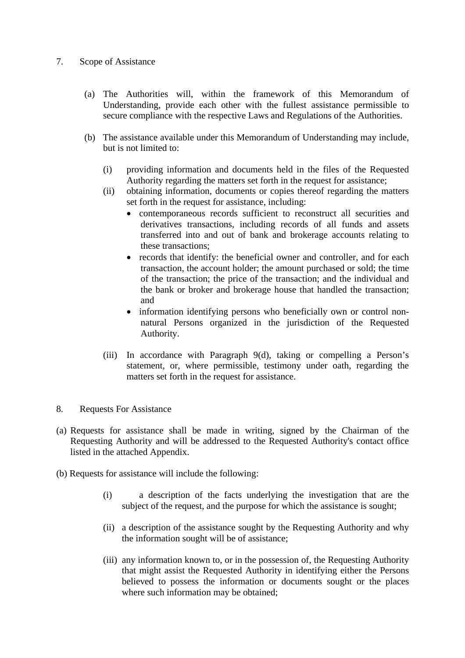### 7. Scope of Assistance

- (a) The Authorities will, within the framework of this Memorandum of Understanding, provide each other with the fullest assistance permissible to secure compliance with the respective Laws and Regulations of the Authorities.
- (b) The assistance available under this Memorandum of Understanding may include, but is not limited to:
	- (i) providing information and documents held in the files of the Requested Authority regarding the matters set forth in the request for assistance;
	- (ii) obtaining information, documents or copies thereof regarding the matters set forth in the request for assistance, including:
		- contemporaneous records sufficient to reconstruct all securities and derivatives transactions, including records of all funds and assets transferred into and out of bank and brokerage accounts relating to these transactions;
		- records that identify: the beneficial owner and controller, and for each transaction, the account holder; the amount purchased or sold; the time of the transaction; the price of the transaction; and the individual and the bank or broker and brokerage house that handled the transaction; and
		- information identifying persons who beneficially own or control nonnatural Persons organized in the jurisdiction of the Requested Authority.
	- (iii) In accordance with Paragraph 9(d), taking or compelling a Person's statement, or, where permissible, testimony under oath, regarding the matters set forth in the request for assistance.
- 8. Requests For Assistance
- (a) Requests for assistance shall be made in writing, signed by the Chairman of the Requesting Authority and will be addressed to the Requested Authority's contact office listed in the attached Appendix.
- (b) Requests for assistance will include the following:
	- (i) a description of the facts underlying the investigation that are the subject of the request, and the purpose for which the assistance is sought;
	- (ii) a description of the assistance sought by the Requesting Authority and why the information sought will be of assistance;
	- (iii) any information known to, or in the possession of, the Requesting Authority that might assist the Requested Authority in identifying either the Persons believed to possess the information or documents sought or the places where such information may be obtained;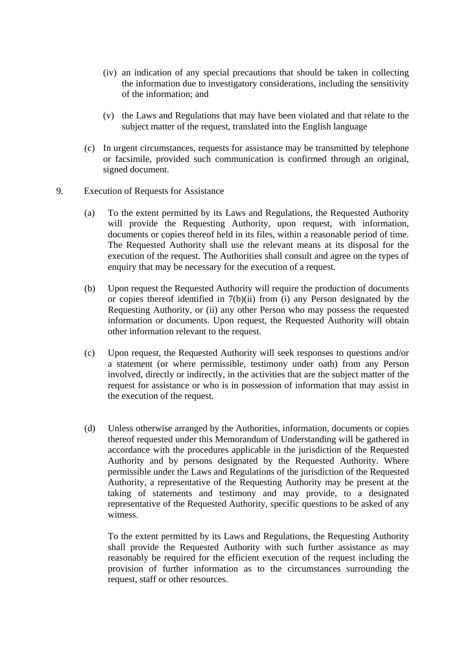- (iv) an indication of any special precautions that should be taken in collecting the information due to investigatory considerations, including the sensitivity of the information; and
- (v) the Laws and Regulations that may have been violated and that relate to the subject matter of the request, translated into the English language
- (c) In urgent circumstances, requests for assistance may be transmitted by telephone or facsimile, provided such communication is confirmed through an original, signed document.
- 9. Execution of Requests for Assistance
	- (a) To the extent permitted by its Laws and Regulations, the Requested Authority will provide the Requesting Authority, upon request, with information, documents or copies thereof held in its files, within a reasonable period of time. The Requested Authority shall use the relevant means at its disposal for the execution of the request. The Authorities shall consult and agree on the types of enquiry that may be necessary for the execution of a request.
	- (b) Upon request the Requested Authority will require the production of documents or copies thereof identified in 7(b)(ii) from (i) any Person designated by the Requesting Authority, or (ii) any other Person who may possess the requested information or documents. Upon request, the Requested Authority will obtain other information relevant to the request.
	- (c) Upon request, the Requested Authority will seek responses to questions and/or a statement (or where permissible, testimony under oath) from any Person involved, directly or indirectly, in the activities that are the subject matter of the request for assistance or who is in possession of information that may assist in the execution of the request.
	- (d) Unless otherwise arranged by the Authorities, information, documents or copies thereof requested under this Memorandum of Understanding will be gathered in accordance with the procedures applicable in the jurisdiction of the Requested Authority and by persons designated by the Requested Authority. Where permissible under the Laws and Regulations of the jurisdiction of the Requested Authority, a representative of the Requesting Authority may be present at the taking of statements and testimony and may provide, to a designated representative of the Requested Authority, specific questions to be asked of any witness.

To the extent permitted by its Laws and Regulations, the Requesting Authority shall provide the Requested Authority with such further assistance as may reasonably be required for the efficient execution of the request including the provision of further information as to the circumstances surrounding the request, staff or other resources.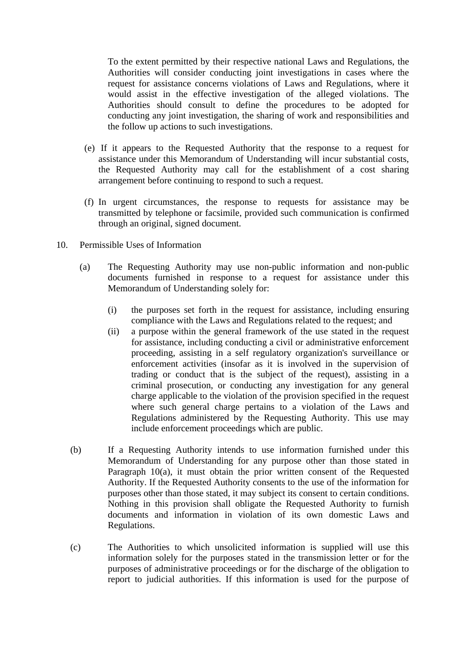To the extent permitted by their respective national Laws and Regulations, the Authorities will consider conducting joint investigations in cases where the request for assistance concerns violations of Laws and Regulations, where it would assist in the effective investigation of the alleged violations. The Authorities should consult to define the procedures to be adopted for conducting any joint investigation, the sharing of work and responsibilities and the follow up actions to such investigations.

- (e) If it appears to the Requested Authority that the response to a request for assistance under this Memorandum of Understanding will incur substantial costs, the Requested Authority may call for the establishment of a cost sharing arrangement before continuing to respond to such a request.
- (f) In urgent circumstances, the response to requests for assistance may be transmitted by telephone or facsimile, provided such communication is confirmed through an original, signed document.
- 10. Permissible Uses of Information
	- (a) The Requesting Authority may use non-public information and non-public documents furnished in response to a request for assistance under this Memorandum of Understanding solely for:
		- (i) the purposes set forth in the request for assistance, including ensuring compliance with the Laws and Regulations related to the request; and
		- (ii) a purpose within the general framework of the use stated in the request for assistance, including conducting a civil or administrative enforcement proceeding, assisting in a self regulatory organization's surveillance or enforcement activities (insofar as it is involved in the supervision of trading or conduct that is the subject of the request), assisting in a criminal prosecution, or conducting any investigation for any general charge applicable to the violation of the provision specified in the request where such general charge pertains to a violation of the Laws and Regulations administered by the Requesting Authority. This use may include enforcement proceedings which are public.
	- (b) If a Requesting Authority intends to use information furnished under this Memorandum of Understanding for any purpose other than those stated in Paragraph 10(a), it must obtain the prior written consent of the Requested Authority. If the Requested Authority consents to the use of the information for purposes other than those stated, it may subject its consent to certain conditions. Nothing in this provision shall obligate the Requested Authority to furnish documents and information in violation of its own domestic Laws and Regulations.
	- (c) The Authorities to which unsolicited information is supplied will use this information solely for the purposes stated in the transmission letter or for the purposes of administrative proceedings or for the discharge of the obligation to report to judicial authorities. If this information is used for the purpose of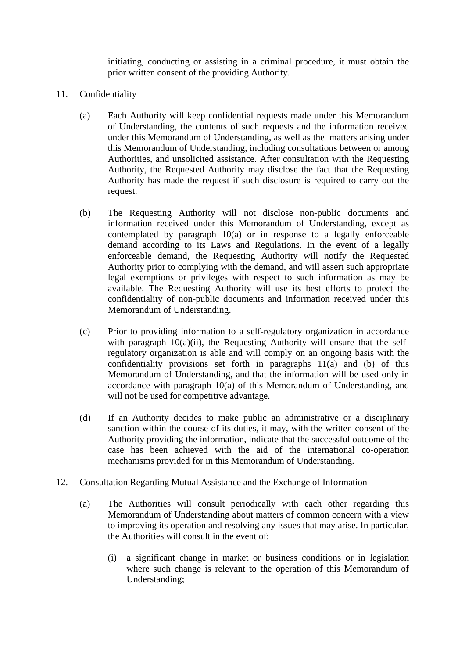initiating, conducting or assisting in a criminal procedure, it must obtain the prior written consent of the providing Authority.

- 11. Confidentiality
	- (a) Each Authority will keep confidential requests made under this Memorandum of Understanding, the contents of such requests and the information received under this Memorandum of Understanding, as well as the matters arising under this Memorandum of Understanding, including consultations between or among Authorities, and unsolicited assistance. After consultation with the Requesting Authority, the Requested Authority may disclose the fact that the Requesting Authority has made the request if such disclosure is required to carry out the request.
	- (b) The Requesting Authority will not disclose non-public documents and information received under this Memorandum of Understanding, except as contemplated by paragraph 10(a) or in response to a legally enforceable demand according to its Laws and Regulations. In the event of a legally enforceable demand, the Requesting Authority will notify the Requested Authority prior to complying with the demand, and will assert such appropriate legal exemptions or privileges with respect to such information as may be available. The Requesting Authority will use its best efforts to protect the confidentiality of non-public documents and information received under this Memorandum of Understanding.
	- (c) Prior to providing information to a self-regulatory organization in accordance with paragraph  $10(a)(ii)$ , the Requesting Authority will ensure that the selfregulatory organization is able and will comply on an ongoing basis with the confidentiality provisions set forth in paragraphs 11(a) and (b) of this Memorandum of Understanding, and that the information will be used only in accordance with paragraph 10(a) of this Memorandum of Understanding, and will not be used for competitive advantage.
	- (d) If an Authority decides to make public an administrative or a disciplinary sanction within the course of its duties, it may, with the written consent of the Authority providing the information, indicate that the successful outcome of the case has been achieved with the aid of the international co-operation mechanisms provided for in this Memorandum of Understanding.
- 12. Consultation Regarding Mutual Assistance and the Exchange of Information
	- (a) The Authorities will consult periodically with each other regarding this Memorandum of Understanding about matters of common concern with a view to improving its operation and resolving any issues that may arise. In particular, the Authorities will consult in the event of:
		- (i) a significant change in market or business conditions or in legislation where such change is relevant to the operation of this Memorandum of Understanding;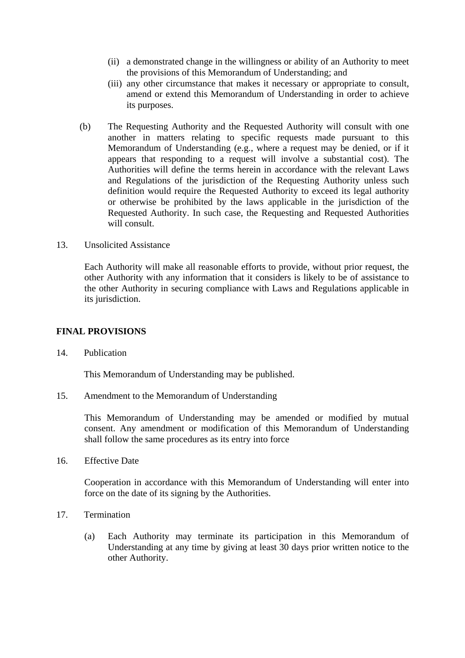- (ii) a demonstrated change in the willingness or ability of an Authority to meet the provisions of this Memorandum of Understanding; and
- (iii) any other circumstance that makes it necessary or appropriate to consult, amend or extend this Memorandum of Understanding in order to achieve its purposes.
- (b) The Requesting Authority and the Requested Authority will consult with one another in matters relating to specific requests made pursuant to this Memorandum of Understanding (e.g., where a request may be denied, or if it appears that responding to a request will involve a substantial cost). The Authorities will define the terms herein in accordance with the relevant Laws and Regulations of the jurisdiction of the Requesting Authority unless such definition would require the Requested Authority to exceed its legal authority or otherwise be prohibited by the laws applicable in the jurisdiction of the Requested Authority. In such case, the Requesting and Requested Authorities will consult.
- 13. Unsolicited Assistance

Each Authority will make all reasonable efforts to provide, without prior request, the other Authority with any information that it considers is likely to be of assistance to the other Authority in securing compliance with Laws and Regulations applicable in its jurisdiction.

#### **FINAL PROVISIONS**

14. Publication

This Memorandum of Understanding may be published.

15. Amendment to the Memorandum of Understanding

This Memorandum of Understanding may be amended or modified by mutual consent. Any amendment or modification of this Memorandum of Understanding shall follow the same procedures as its entry into force

16. Effective Date

 Cooperation in accordance with this Memorandum of Understanding will enter into force on the date of its signing by the Authorities.

- 17. Termination
	- (a) Each Authority may terminate its participation in this Memorandum of Understanding at any time by giving at least 30 days prior written notice to the other Authority.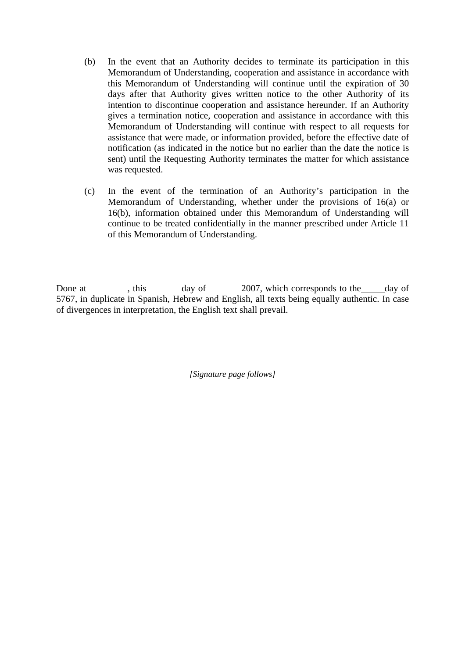- (b) In the event that an Authority decides to terminate its participation in this Memorandum of Understanding, cooperation and assistance in accordance with this Memorandum of Understanding will continue until the expiration of 30 days after that Authority gives written notice to the other Authority of its intention to discontinue cooperation and assistance hereunder. If an Authority gives a termination notice, cooperation and assistance in accordance with this Memorandum of Understanding will continue with respect to all requests for assistance that were made, or information provided, before the effective date of notification (as indicated in the notice but no earlier than the date the notice is sent) until the Requesting Authority terminates the matter for which assistance was requested.
- (c) In the event of the termination of an Authority's participation in the Memorandum of Understanding, whether under the provisions of 16(a) or 16(b), information obtained under this Memorandum of Understanding will continue to be treated confidentially in the manner prescribed under Article 11 of this Memorandum of Understanding.

Done at , this day of 2007, which corresponds to the day of 5767, in duplicate in Spanish, Hebrew and English, all texts being equally authentic. In case of divergences in interpretation, the English text shall prevail.

*[Signature page follows]*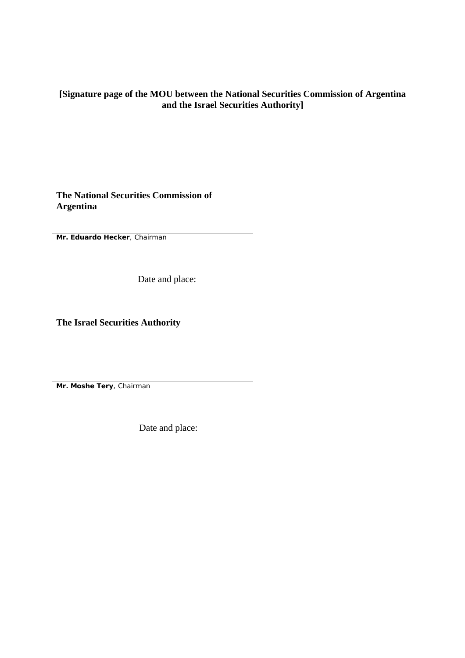### **[Signature page of the MOU between the National Securities Commission of Argentina and the Israel Securities Authority]**

**The National Securities Commission of Argentina**

**Mr. Eduardo Hecker**, Chairman

Date and place:

**The Israel Securities Authority** 

**Mr. Moshe Tery**, Chairman

Date and place: